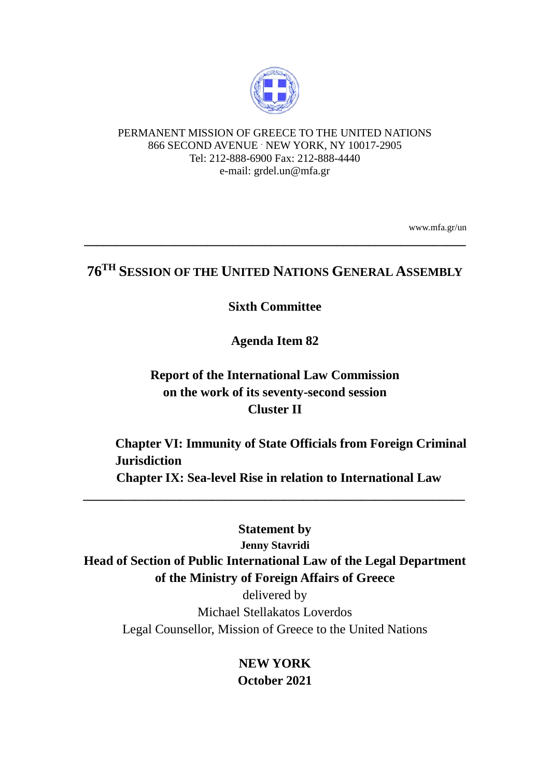

### PERMANENT MISSION OF GREECE TO THE UNITED NATIONS 866 SECOND AVENUE . NEW YORK, NY 10017-2905 Tel: 212-888-6900 Fax: 212-888-4440 e-mail: grdel.un@mfa.gr

www.mfa.gr/un

# **76TH SESSION OF THE UNITED NATIONS GENERAL ASSEMBLY**

**\_\_\_\_\_\_\_\_\_\_\_\_\_\_\_\_\_\_\_\_\_\_\_\_\_\_\_\_\_\_\_\_\_\_\_\_\_\_\_\_\_\_\_\_\_\_\_\_\_\_\_\_\_\_\_\_\_\_\_**

### **Sixth Committee**

**Agenda Item 82**

## **Report of the International Law Commission on the work of its seventy-second session Cluster II**

 **Chapter VI: Immunity of State Officials from Foreign Criminal Jurisdiction Chapter IX: Sea-level Rise in relation to International Law**

**Statement by Jenny Stavridi Head of Section of Public International Law of the Legal Department of the Ministry of Foreign Affairs of Greece**

**\_\_\_\_\_\_\_\_\_\_\_\_\_\_\_\_\_\_\_\_\_\_\_\_\_\_\_\_\_\_\_\_\_\_\_\_\_\_\_\_\_\_\_\_\_\_\_\_\_\_\_\_\_\_\_\_\_\_\_**

delivered by Michael Stellakatos Loverdos Legal Counsellor, Mission of Greece to the United Nations

> **NEW YORK October 2021**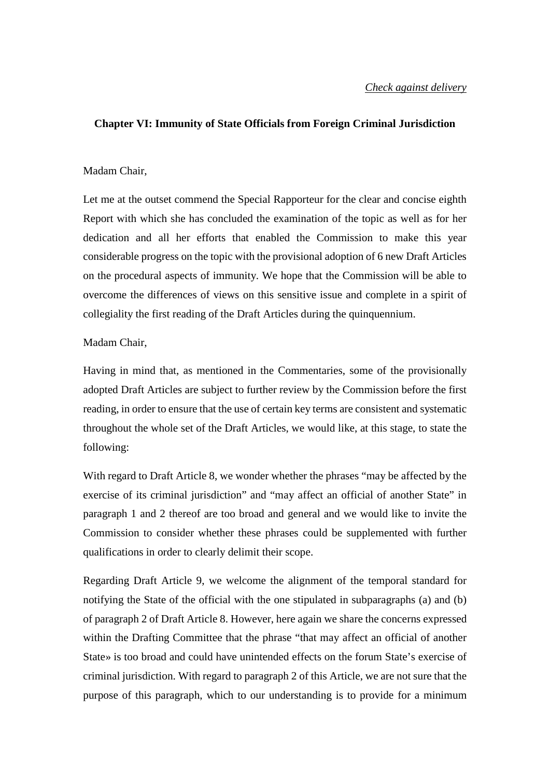#### **Chapter VI: Immunity of State Officials from Foreign Criminal Jurisdiction**

#### Madam Chair,

Let me at the outset commend the Special Rapporteur for the clear and concise eighth Report with which she has concluded the examination of the topic as well as for her dedication and all her efforts that enabled the Commission to make this year considerable progress on the topic with the provisional adoption of 6 new Draft Articles on the procedural aspects of immunity. We hope that the Commission will be able to overcome the differences of views on this sensitive issue and complete in a spirit of collegiality the first reading of the Draft Articles during the quinquennium.

#### Madam Chair,

Having in mind that, as mentioned in the Commentaries, some of the provisionally adopted Draft Articles are subject to further review by the Commission before the first reading, in order to ensure that the use of certain key terms are consistent and systematic throughout the whole set of the Draft Articles, we would like, at this stage, to state the following:

With regard to Draft Article 8, we wonder whether the phrases "may be affected by the exercise of its criminal jurisdiction" and "may affect an official of another State" in paragraph 1 and 2 thereof are too broad and general and we would like to invite the Commission to consider whether these phrases could be supplemented with further qualifications in order to clearly delimit their scope.

Regarding Draft Article 9, we welcome the alignment of the temporal standard for notifying the State of the official with the one stipulated in subparagraphs (a) and (b) of paragraph 2 of Draft Article 8. However, here again we share the concerns expressed within the Drafting Committee that the phrase "that may affect an official of another State» is too broad and could have unintended effects on the forum State's exercise of criminal jurisdiction. With regard to paragraph 2 of this Article, we are not sure that the purpose of this paragraph, which to our understanding is to provide for a minimum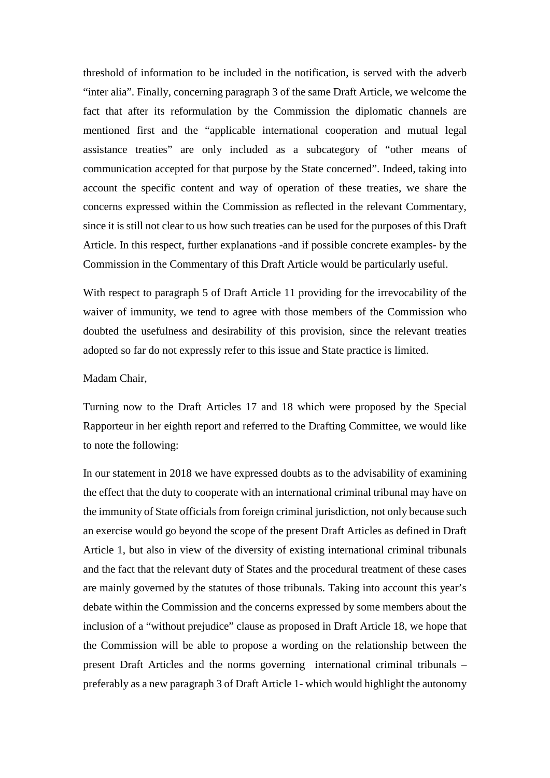threshold of information to be included in the notification, is served with the adverb "inter alia". Finally, concerning paragraph 3 of the same Draft Article, we welcome the fact that after its reformulation by the Commission the diplomatic channels are mentioned first and the "applicable international cooperation and mutual legal assistance treaties" are only included as a subcategory of "other means of communication accepted for that purpose by the State concerned". Indeed, taking into account the specific content and way of operation of these treaties, we share the concerns expressed within the Commission as reflected in the relevant Commentary, since it is still not clear to us how such treaties can be used for the purposes of this Draft Article. In this respect, further explanations -and if possible concrete examples- by the Commission in the Commentary of this Draft Article would be particularly useful.

With respect to paragraph 5 of Draft Article 11 providing for the irrevocability of the waiver of immunity, we tend to agree with those members of the Commission who doubted the usefulness and desirability of this provision, since the relevant treaties adopted so far do not expressly refer to this issue and State practice is limited.

#### Madam Chair,

Turning now to the Draft Articles 17 and 18 which were proposed by the Special Rapporteur in her eighth report and referred to the Drafting Committee, we would like to note the following:

In our statement in 2018 we have expressed doubts as to the advisability of examining the effect that the duty to cooperate with an international criminal tribunal may have on the immunity of State officials from foreign criminal jurisdiction, not only because such an exercise would go beyond the scope of the present Draft Articles as defined in Draft Article 1, but also in view of the diversity of existing international criminal tribunals and the fact that the relevant duty of States and the procedural treatment of these cases are mainly governed by the statutes of those tribunals. Taking into account this year's debate within the Commission and the concerns expressed by some members about the inclusion of a "without prejudice" clause as proposed in Draft Article 18, we hope that the Commission will be able to propose a wording on the relationship between the present Draft Articles and the norms governing international criminal tribunals – preferably as a new paragraph 3 of Draft Article 1- which would highlight the autonomy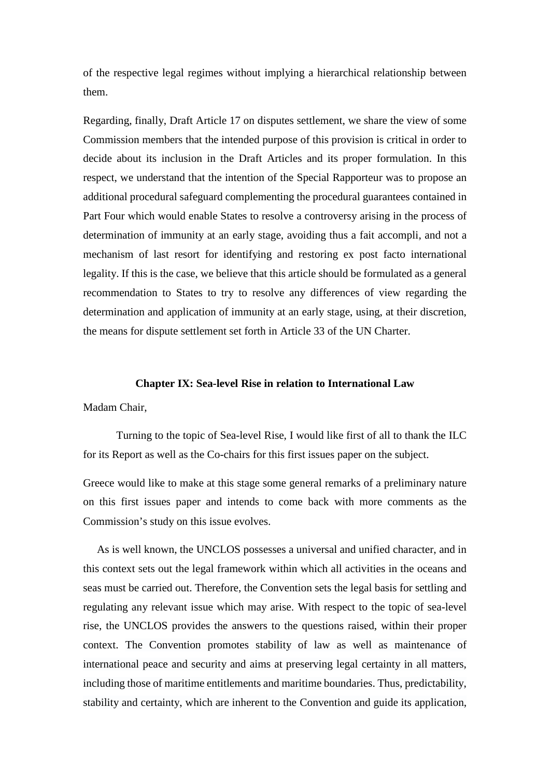of the respective legal regimes without implying a hierarchical relationship between them.

Regarding, finally, Draft Article 17 on disputes settlement, we share the view of some Commission members that the intended purpose of this provision is critical in order to decide about its inclusion in the Draft Articles and its proper formulation. In this respect, we understand that the intention of the Special Rapporteur was to propose an additional procedural safeguard complementing the procedural guarantees contained in Part Four which would enable States to resolve a controversy arising in the process of determination of immunity at an early stage, avoiding thus a fait accompli, and not a mechanism of last resort for identifying and restoring ex post facto international legality. If this is the case, we believe that this article should be formulated as a general recommendation to States to try to resolve any differences of view regarding the determination and application of immunity at an early stage, using, at their discretion, the means for dispute settlement set forth in Article 33 of the UN Charter.

#### **Chapter IX: Sea-level Rise in relation to International Law**

Madam Chair,

Turning to the topic of Sea-level Rise, I would like first of all to thank the ILC for its Report as well as the Co-chairs for this first issues paper on the subject.

Greece would like to make at this stage some general remarks of a preliminary nature on this first issues paper and intends to come back with more comments as the Commission's study on this issue evolves.

 As is well known, the UNCLOS possesses a universal and unified character, and in this context sets out the legal framework within which all activities in the oceans and seas must be carried out. Therefore, the Convention sets the legal basis for settling and regulating any relevant issue which may arise. With respect to the topic of sea-level rise, the UNCLOS provides the answers to the questions raised, within their proper context. The Convention promotes stability of law as well as maintenance of international peace and security and aims at preserving legal certainty in all matters, including those of maritime entitlements and maritime boundaries. Thus, predictability, stability and certainty, which are inherent to the Convention and guide its application,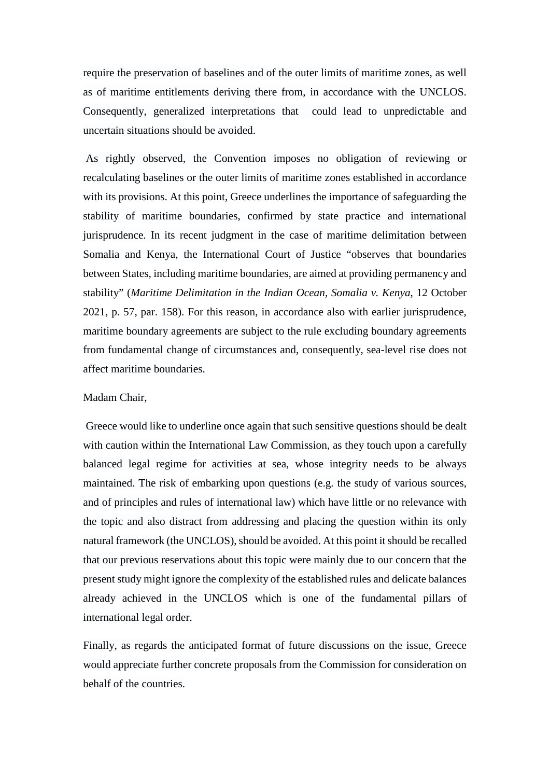require the preservation of baselines and of the outer limits of maritime zones, as well as of maritime entitlements deriving there from, in accordance with the UNCLOS. Consequently, generalized interpretations that could lead to unpredictable and uncertain situations should be avoided.

As rightly observed, the Convention imposes no obligation of reviewing or recalculating baselines or the outer limits of maritime zones established in accordance with its provisions. At this point, Greece underlines the importance of safeguarding the stability of maritime boundaries, confirmed by state practice and international jurisprudence. In its recent judgment in the case of maritime delimitation between Somalia and Kenya, the International Court of Justice "observes that boundaries between States, including maritime boundaries, are aimed at providing permanency and stability" (*Maritime Delimitation in the Indian Ocean, Somalia v. Kenya*, 12 October 2021, p. 57, par. 158). For this reason, in accordance also with earlier jurisprudence, maritime boundary agreements are subject to the rule excluding boundary agreements from fundamental change of circumstances and, consequently, sea-level rise does not affect maritime boundaries.

#### Madam Chair,

Greece would like to underline once again that such sensitive questions should be dealt with caution within the International Law Commission, as they touch upon a carefully balanced legal regime for activities at sea, whose integrity needs to be always maintained. The risk of embarking upon questions (e.g. the study of various sources, and of principles and rules of international law) which have little or no relevance with the topic and also distract from addressing and placing the question within its only natural framework (the UNCLOS), should be avoided. At this point it should be recalled that our previous reservations about this topic were mainly due to our concern that the present study might ignore the complexity of the established rules and delicate balances already achieved in the UNCLOS which is one of the fundamental pillars of international legal order.

Finally, as regards the anticipated format of future discussions on the issue, Greece would appreciate further concrete proposals from the Commission for consideration on behalf of the countries.